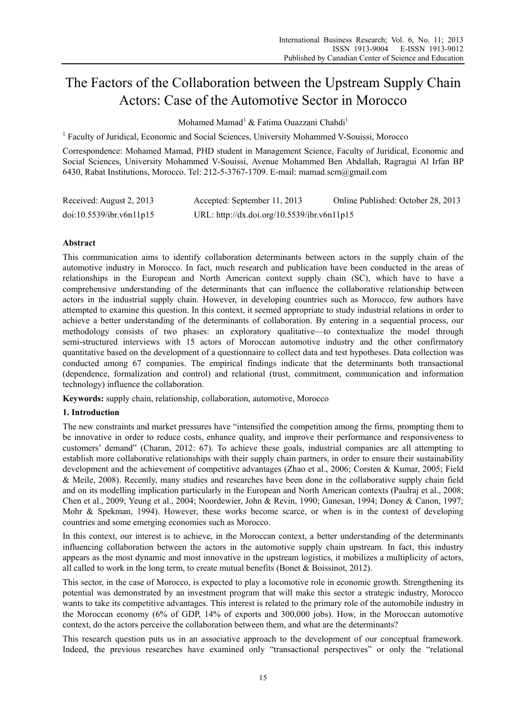# The Factors of the Collaboration between the Upstream Supply Chain Actors: Case of the Automotive Sector in Morocco

Mohamed Mamad<sup>1</sup> & Fatima Ouazzani Chahdi<sup>1</sup>

<sup>1</sup> Faculty of Juridical, Economic and Social Sciences, University Mohammed V-Souissi, Morocco

Correspondence: Mohamed Mamad, PHD student in Management Science, Faculty of Juridical, Economic and Social Sciences, University Mohammed V-Souissi, Avenue Mohammed Ben Abdallah, Ragragui Al Irfan BP 6430, Rabat Institutions, Morocco. Tel: 212-5-3767-1709. E-mail: mamad.scm@gmail.com

| Received: August 2, 2013 | Accepted: September 11, 2013                | Online Published: October 28, 2013 |
|--------------------------|---------------------------------------------|------------------------------------|
| doi:10.5539/ibr.v6n11p15 | URL: http://dx.doi.org/10.5539/ibr.v6n11p15 |                                    |

# **Abstract**

This communication aims to identify collaboration determinants between actors in the supply chain of the automotive industry in Morocco. In fact, much research and publication have been conducted in the areas of relationships in the European and North American context supply chain (SC), which have to have a comprehensive understanding of the determinants that can influence the collaborative relationship between actors in the industrial supply chain. However, in developing countries such as Morocco, few authors have attempted to examine this question. In this context, it seemed appropriate to study industrial relations in order to achieve a better understanding of the determinants of collaboration. By entering in a sequential process, our methodology consists of two phases: an exploratory qualitative—to contextualize the model through semi-structured interviews with 15 actors of Moroccan automotive industry and the other confirmatory quantitative based on the development of a questionnaire to collect data and test hypotheses. Data collection was conducted among 67 companies. The empirical findings indicate that the determinants both transactional (dependence, formalization and control) and relational (trust, commitment, communication and information technology) influence the collaboration.

**Keywords:** supply chain, relationship, collaboration, automotive, Morocco

## **1. Introduction**

The new constraints and market pressures have "intensified the competition among the firms, prompting them to be innovative in order to reduce costs, enhance quality, and improve their performance and responsiveness to customers' demand" (Charan, 2012: 67). To achieve these goals, industrial companies are all attempting to establish more collaborative relationships with their supply chain partners, in order to ensure their sustainability development and the achievement of competitive advantages (Zhao et al., 2006; Corsten & Kumar, 2005; Field & Meile, 2008). Recently, many studies and researches have been done in the collaborative supply chain field and on its modelling implication particularly in the European and North American contexts (Paulraj et al., 2008; Chen et al., 2009; Yeung et al., 2004; Noordewier, John & Revin, 1990; Ganesan, 1994; Doney & Canon, 1997; Mohr & Spekman, 1994). However, these works become scarce, or when is in the context of developing countries and some emerging economies such as Morocco.

In this context, our interest is to achieve, in the Moroccan context, a better understanding of the determinants influencing collaboration between the actors in the automotive supply chain upstream. In fact, this industry appears as the most dynamic and most innovative in the upstream logistics, it mobilizes a multiplicity of actors, all called to work in the long term, to create mutual benefits (Bonet & Boissinot, 2012).

This sector, in the case of Morocco, is expected to play a locomotive role in economic growth. Strengthening its potential was demonstrated by an investment program that will make this sector a strategic industry, Morocco wants to take its competitive advantages. This interest is related to the primary role of the automobile industry in the Moroccan economy (6% of GDP, 14% of exports and 300,000 jobs). How, in the Moroccan automotive context, do the actors perceive the collaboration between them, and what are the determinants?

This research question puts us in an associative approach to the development of our conceptual framework. Indeed, the previous researches have examined only "transactional perspectives" or only the "relational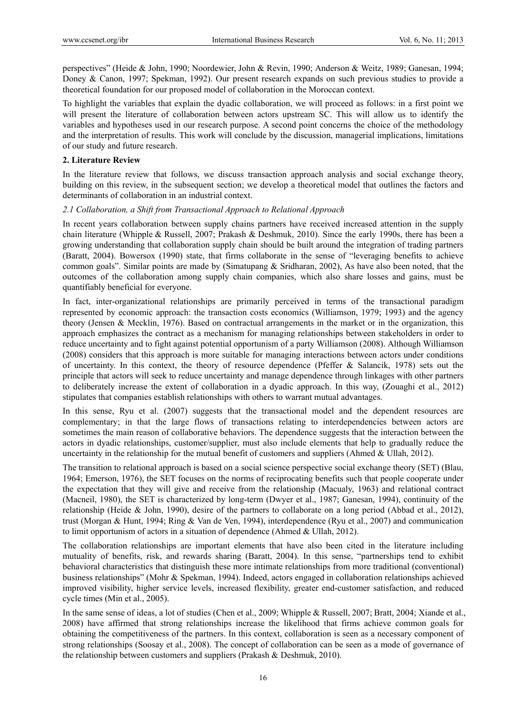perspectives" (Heide & John, 1990; Noordewier, John & Revin, 1990; Anderson & Weitz, 1989; Ganesan, 1994; Doney & Canon, 1997; Spekman, 1992). Our present research expands on such previous studies to provide a theoretical foundation for our proposed model of collaboration in the Moroccan context.

To highlight the variables that explain the dyadic collaboration, we will proceed as follows: in a first point we will present the literature of collaboration between actors upstream SC. This will allow us to identify the variables and hypotheses used in our research purpose. A second point concerns the choice of the methodology and the interpretation of results. This work will conclude by the discussion, managerial implications, limitations of our study and future research.

#### **2. Literature Review**

In the literature review that follows, we discuss transaction approach analysis and social exchange theory, building on this review, in the subsequent section; we develop a theoretical model that outlines the factors and determinants of collaboration in an industrial context.

## *2.1 Collaboration, a Shift from Transactional Approach to Relational Approach*

In recent years collaboration between supply chains partners have received increased attention in the supply chain literature (Whipple & Russell, 2007; Prakash & Deshmuk, 2010). Since the early 1990s, there has been a growing understanding that collaboration supply chain should be built around the integration of trading partners (Baratt, 2004). Bowersox (1990) state, that firms collaborate in the sense of "leveraging benefits to achieve common goals". Similar points are made by (Simatupang & Sridharan, 2002), As have also been noted, that the outcomes of the collaboration among supply chain companies, which also share losses and gains, must be quantifiably beneficial for everyone.

In fact, inter-organizational relationships are primarily perceived in terms of the transactional paradigm represented by economic approach: the transaction costs economics (Williamson, 1979; 1993) and the agency theory (Jensen & Mecklin, 1976). Based on contractual arrangements in the market or in the organization, this approach emphasizes the contract as a mechanism for managing relationships between stakeholders in order to reduce uncertainty and to fight against potential opportunism of a party Williamson (2008). Although Williamson (2008) considers that this approach is more suitable for managing interactions between actors under conditions of uncertainty. In this context, the theory of resource dependence (Pfeffer & Salancik, 1978) sets out the principle that actors will seek to reduce uncertainty and manage dependence through linkages with other partners to deliberately increase the extent of collaboration in a dyadic approach. In this way, (Zouaghi et al., 2012) stipulates that companies establish relationships with others to warrant mutual advantages.

In this sense, Ryu et al. (2007) suggests that the transactional model and the dependent resources are complementary; in that the large flows of transactions relating to interdependencies between actors are sometimes the main reason of collaborative behaviors. The dependence suggests that the interaction between the actors in dyadic relationships, customer/supplier, must also include elements that help to gradually reduce the uncertainty in the relationship for the mutual benefit of customers and suppliers (Ahmed & Ullah, 2012).

The transition to relational approach is based on a social science perspective social exchange theory (SET) (Blau, 1964; Emerson, 1976), the SET focuses on the norms of reciprocating benefits such that people cooperate under the expectation that they will give and receive from the relationship (Macualy, 1963) and relational contract (Macneil, 1980), the SET is characterized by long-term (Dwyer et al., 1987; Ganesan, 1994), continuity of the relationship (Heide & John, 1990), desire of the partners to collaborate on a long period (Abbad et al., 2012), trust (Morgan & Hunt, 1994; Ring & Van de Ven, 1994), interdependence (Ryu et al., 2007) and communication to limit opportunism of actors in a situation of dependence (Ahmed & Ullah, 2012).

The collaboration relationships are important elements that have also been cited in the literature including mutuality of benefits, risk, and rewards sharing (Baratt, 2004). In this sense, "partnerships tend to exhibit behavioral characteristics that distinguish these more intimate relationships from more traditional (conventional) business relationships" (Mohr & Spekman, 1994). Indeed, actors engaged in collaboration relationships achieved improved visibility, higher service levels, increased flexibility, greater end-customer satisfaction, and reduced cycle times (Min et al., 2005).

In the same sense of ideas, a lot of studies (Chen et al., 2009; Whipple & Russell, 2007; Bratt, 2004; Xiande et al., 2008) have affirmed that strong relationships increase the likelihood that firms achieve common goals for obtaining the competitiveness of the partners. In this context, collaboration is seen as a necessary component of strong relationships (Soosay et al., 2008). The concept of collaboration can be seen as a mode of governance of the relationship between customers and suppliers (Prakash & Deshmuk, 2010).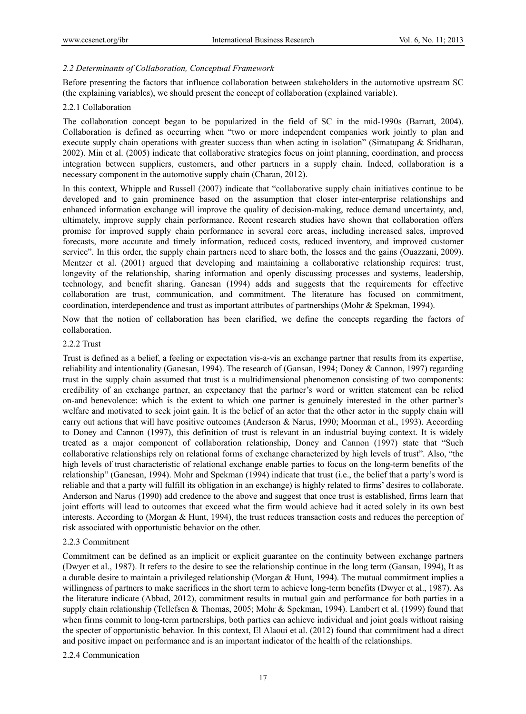# *2.2 Determinants of Collaboration, Conceptual Framework*

Before presenting the factors that influence collaboration between stakeholders in the automotive upstream SC (the explaining variables), we should present the concept of collaboration (explained variable).

# 2.2.1 Collaboration

The collaboration concept began to be popularized in the field of SC in the mid-1990s (Barratt, 2004). Collaboration is defined as occurring when "two or more independent companies work jointly to plan and execute supply chain operations with greater success than when acting in isolation" (Simatupang & Sridharan, 2002). Min et al. (2005) indicate that collaborative strategies focus on joint planning, coordination, and process integration between suppliers, customers, and other partners in a supply chain. Indeed, collaboration is a necessary component in the automotive supply chain (Charan, 2012).

In this context, Whipple and Russell (2007) indicate that "collaborative supply chain initiatives continue to be developed and to gain prominence based on the assumption that closer inter-enterprise relationships and enhanced information exchange will improve the quality of decision-making, reduce demand uncertainty, and, ultimately, improve supply chain performance. Recent research studies have shown that collaboration offers promise for improved supply chain performance in several core areas, including increased sales, improved forecasts, more accurate and timely information, reduced costs, reduced inventory, and improved customer service". In this order, the supply chain partners need to share both, the losses and the gains (Ouazzani, 2009). Mentzer et al. (2001) argued that developing and maintaining a collaborative relationship requires: trust, longevity of the relationship, sharing information and openly discussing processes and systems, leadership, technology, and benefit sharing. Ganesan (1994) adds and suggests that the requirements for effective collaboration are trust, communication, and commitment. The literature has focused on commitment, coordination, interdependence and trust as important attributes of partnerships (Mohr & Spekman, 1994).

Now that the notion of collaboration has been clarified, we define the concepts regarding the factors of collaboration.

# 2.2.2 Trust

Trust is defined as a belief, a feeling or expectation vis-a-vis an exchange partner that results from its expertise, reliability and intentionality (Ganesan, 1994). The research of (Gansan, 1994; Doney & Cannon, 1997) regarding trust in the supply chain assumed that trust is a multidimensional phenomenon consisting of two components: credibility of an exchange partner, an expectancy that the partner's word or written statement can be relied on-and benevolence: which is the extent to which one partner is genuinely interested in the other partner's welfare and motivated to seek joint gain. It is the belief of an actor that the other actor in the supply chain will carry out actions that will have positive outcomes (Anderson & Narus, 1990; Moorman et al., 1993). According to Doney and Cannon (1997), this definition of trust is relevant in an industrial buying context. It is widely treated as a major component of collaboration relationship, Doney and Cannon (1997) state that "Such collaborative relationships rely on relational forms of exchange characterized by high levels of trust". Also, "the high levels of trust characteristic of relational exchange enable parties to focus on the long-term benefits of the relationship" (Ganesan, 1994). Mohr and Spekman (1994) indicate that trust (i.e., the belief that a party's word is reliable and that a party will fulfill its obligation in an exchange) is highly related to firms' desires to collaborate. Anderson and Narus (1990) add credence to the above and suggest that once trust is established, firms learn that joint efforts will lead to outcomes that exceed what the firm would achieve had it acted solely in its own best interests. According to (Morgan & Hunt, 1994), the trust reduces transaction costs and reduces the perception of risk associated with opportunistic behavior on the other.

## 2.2.3 Commitment

Commitment can be defined as an implicit or explicit guarantee on the continuity between exchange partners (Dwyer et al., 1987). It refers to the desire to see the relationship continue in the long term (Gansan, 1994), It as a durable desire to maintain a privileged relationship (Morgan & Hunt, 1994). The mutual commitment implies a willingness of partners to make sacrifices in the short term to achieve long-term benefits (Dwyer et al., 1987). As the literature indicate (Abbad, 2012), commitment results in mutual gain and performance for both parties in a supply chain relationship (Tellefsen & Thomas, 2005; Mohr & Spekman, 1994). Lambert et al. (1999) found that when firms commit to long-term partnerships, both parties can achieve individual and joint goals without raising the specter of opportunistic behavior. In this context, El Alaoui et al. (2012) found that commitment had a direct and positive impact on performance and is an important indicator of the health of the relationships.

## 2.2.4 Communication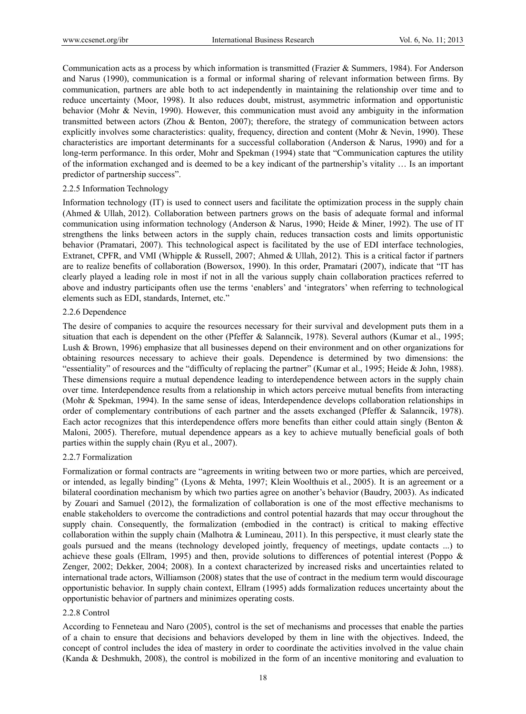Communication acts as a process by which information is transmitted (Frazier & Summers, 1984). For Anderson and Narus (1990), communication is a formal or informal sharing of relevant information between firms. By communication, partners are able both to act independently in maintaining the relationship over time and to reduce uncertainty (Moor, 1998). It also reduces doubt, mistrust, asymmetric information and opportunistic behavior (Mohr & Nevin, 1990). However, this communication must avoid any ambiguity in the information transmitted between actors (Zhou & Benton, 2007); therefore, the strategy of communication between actors explicitly involves some characteristics: quality, frequency, direction and content (Mohr & Nevin, 1990). These characteristics are important determinants for a successful collaboration (Anderson & Narus, 1990) and for a long-term performance. In this order, Mohr and Spekman (1994) state that "Communication captures the utility of the information exchanged and is deemed to be a key indicant of the partnership's vitality … Is an important predictor of partnership success".

## 2.2.5 Information Technology

Information technology (IT) is used to connect users and facilitate the optimization process in the supply chain (Ahmed & Ullah, 2012). Collaboration between partners grows on the basis of adequate formal and informal communication using information technology (Anderson & Narus, 1990; Heide & Miner, 1992). The use of IT strengthens the links between actors in the supply chain, reduces transaction costs and limits opportunistic behavior (Pramatari, 2007). This technological aspect is facilitated by the use of EDI interface technologies, Extranet, CPFR, and VMI (Whipple & Russell, 2007; Ahmed & Ullah, 2012). This is a critical factor if partners are to realize benefits of collaboration (Bowersox, 1990). In this order, Pramatari (2007), indicate that "IT has clearly played a leading role in most if not in all the various supply chain collaboration practices referred to above and industry participants often use the terms 'enablers' and 'integrators' when referring to technological elements such as EDI, standards, Internet, etc."

#### 2.2.6 Dependence

The desire of companies to acquire the resources necessary for their survival and development puts them in a situation that each is dependent on the other (Pfeffer & Salanncik, 1978). Several authors (Kumar et al., 1995; Lush & Brown, 1996) emphasize that all businesses depend on their environment and on other organizations for obtaining resources necessary to achieve their goals. Dependence is determined by two dimensions: the "essentiality" of resources and the "difficulty of replacing the partner" (Kumar et al., 1995; Heide & John, 1988). These dimensions require a mutual dependence leading to interdependence between actors in the supply chain over time. Interdependence results from a relationship in which actors perceive mutual benefits from interacting (Mohr & Spekman, 1994). In the same sense of ideas, Interdependence develops collaboration relationships in order of complementary contributions of each partner and the assets exchanged (Pfeffer & Salanncik, 1978). Each actor recognizes that this interdependence offers more benefits than either could attain singly (Benton & Maloni, 2005). Therefore, mutual dependence appears as a key to achieve mutually beneficial goals of both parties within the supply chain (Ryu et al., 2007).

#### 2.2.7 Formalization

Formalization or formal contracts are "agreements in writing between two or more parties, which are perceived, or intended, as legally binding" (Lyons & Mehta, 1997; Klein Woolthuis et al., 2005). It is an agreement or a bilateral coordination mechanism by which two parties agree on another's behavior (Baudry, 2003). As indicated by Zouari and Samuel (2012), the formalization of collaboration is one of the most effective mechanisms to enable stakeholders to overcome the contradictions and control potential hazards that may occur throughout the supply chain. Consequently, the formalization (embodied in the contract) is critical to making effective collaboration within the supply chain (Malhotra & Lumineau, 2011). In this perspective, it must clearly state the goals pursued and the means (technology developed jointly, frequency of meetings, update contacts ...) to achieve these goals (Ellram, 1995) and then, provide solutions to differences of potential interest (Poppo & Zenger, 2002; Dekker, 2004; 2008). In a context characterized by increased risks and uncertainties related to international trade actors, Williamson (2008) states that the use of contract in the medium term would discourage opportunistic behavior. In supply chain context, Ellram (1995) adds formalization reduces uncertainty about the opportunistic behavior of partners and minimizes operating costs.

## 2.2.8 Control

According to Fenneteau and Naro (2005), control is the set of mechanisms and processes that enable the parties of a chain to ensure that decisions and behaviors developed by them in line with the objectives. Indeed, the concept of control includes the idea of mastery in order to coordinate the activities involved in the value chain (Kanda & Deshmukh, 2008), the control is mobilized in the form of an incentive monitoring and evaluation to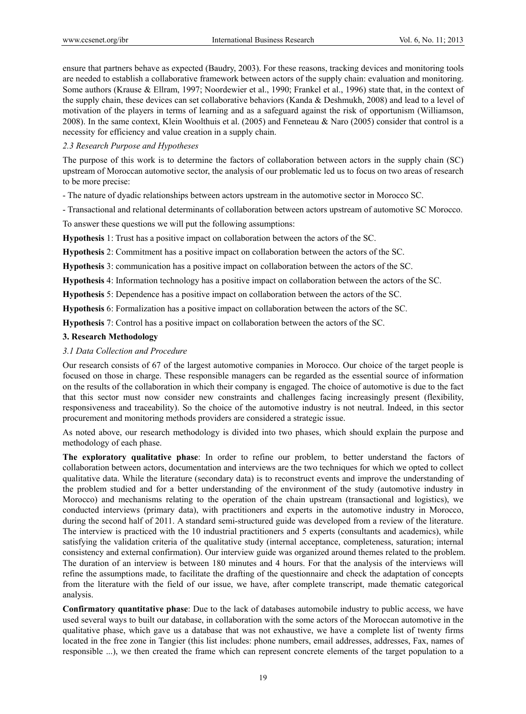ensure that partners behave as expected (Baudry, 2003). For these reasons, tracking devices and monitoring tools are needed to establish a collaborative framework between actors of the supply chain: evaluation and monitoring. Some authors (Krause & Ellram, 1997; Noordewier et al., 1990; Frankel et al., 1996) state that, in the context of the supply chain, these devices can set collaborative behaviors (Kanda & Deshmukh, 2008) and lead to a level of motivation of the players in terms of learning and as a safeguard against the risk of opportunism (Williamson, 2008). In the same context, Klein Woolthuis et al. (2005) and Fenneteau & Naro (2005) consider that control is a necessity for efficiency and value creation in a supply chain.

## *2.3 Research Purpose and Hypotheses*

The purpose of this work is to determine the factors of collaboration between actors in the supply chain (SC) upstream of Moroccan automotive sector, the analysis of our problematic led us to focus on two areas of research to be more precise:

- The nature of dyadic relationships between actors upstream in the automotive sector in Morocco SC.

- Transactional and relational determinants of collaboration between actors upstream of automotive SC Morocco.

To answer these questions we will put the following assumptions:

**Hypothesis** 1: Trust has a positive impact on collaboration between the actors of the SC.

**Hypothesis** 2: Commitment has a positive impact on collaboration between the actors of the SC.

**Hypothesis** 3: communication has a positive impact on collaboration between the actors of the SC.

**Hypothesis** 4: Information technology has a positive impact on collaboration between the actors of the SC.

**Hypothesis** 5: Dependence has a positive impact on collaboration between the actors of the SC.

**Hypothesis** 6: Formalization has a positive impact on collaboration between the actors of the SC.

**Hypothesis** 7: Control has a positive impact on collaboration between the actors of the SC.

# **3. Research Methodology**

# *3.1 Data Collection and Procedure*

Our research consists of 67 of the largest automotive companies in Morocco. Our choice of the target people is focused on those in charge. These responsible managers can be regarded as the essential source of information on the results of the collaboration in which their company is engaged. The choice of automotive is due to the fact that this sector must now consider new constraints and challenges facing increasingly present (flexibility, responsiveness and traceability). So the choice of the automotive industry is not neutral. Indeed, in this sector procurement and monitoring methods providers are considered a strategic issue.

As noted above, our research methodology is divided into two phases, which should explain the purpose and methodology of each phase.

**The exploratory qualitative phase**: In order to refine our problem, to better understand the factors of collaboration between actors, documentation and interviews are the two techniques for which we opted to collect qualitative data. While the literature (secondary data) is to reconstruct events and improve the understanding of the problem studied and for a better understanding of the environment of the study (automotive industry in Morocco) and mechanisms relating to the operation of the chain upstream (transactional and logistics), we conducted interviews (primary data), with practitioners and experts in the automotive industry in Morocco, during the second half of 2011. A standard semi-structured guide was developed from a review of the literature. The interview is practiced with the 10 industrial practitioners and 5 experts (consultants and academics), while satisfying the validation criteria of the qualitative study (internal acceptance, completeness, saturation; internal consistency and external confirmation). Our interview guide was organized around themes related to the problem. The duration of an interview is between 180 minutes and 4 hours. For that the analysis of the interviews will refine the assumptions made, to facilitate the drafting of the questionnaire and check the adaptation of concepts from the literature with the field of our issue, we have, after complete transcript, made thematic categorical analysis.

**Confirmatory quantitative phase**: Due to the lack of databases automobile industry to public access, we have used several ways to built our database, in collaboration with the some actors of the Moroccan automotive in the qualitative phase, which gave us a database that was not exhaustive, we have a complete list of twenty firms located in the free zone in Tangier (this list includes: phone numbers, email addresses, addresses, Fax, names of responsible ...), we then created the frame which can represent concrete elements of the target population to a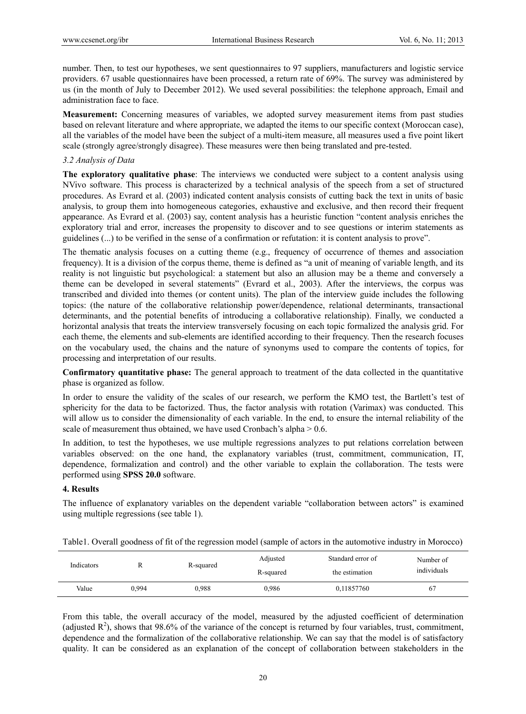number. Then, to test our hypotheses, we sent questionnaires to 97 suppliers, manufacturers and logistic service providers. 67 usable questionnaires have been processed, a return rate of 69%. The survey was administered by us (in the month of July to December 2012). We used several possibilities: the telephone approach, Email and administration face to face.

**Measurement:** Concerning measures of variables, we adopted survey measurement items from past studies based on relevant literature and where appropriate, we adapted the items to our specific context (Moroccan case), all the variables of the model have been the subject of a multi-item measure, all measures used a five point likert scale (strongly agree/strongly disagree). These measures were then being translated and pre-tested.

## *3.2 Analysis of Data*

**The exploratory qualitative phase**: The interviews we conducted were subject to a content analysis using NVivo software. This process is characterized by a technical analysis of the speech from a set of structured procedures. As Evrard et al. (2003) indicated content analysis consists of cutting back the text in units of basic analysis, to group them into homogeneous categories, exhaustive and exclusive, and then record their frequent appearance. As Evrard et al. (2003) say, content analysis has a heuristic function "content analysis enriches the exploratory trial and error, increases the propensity to discover and to see questions or interim statements as guidelines (...) to be verified in the sense of a confirmation or refutation: it is content analysis to prove".

The thematic analysis focuses on a cutting theme (e.g., frequency of occurrence of themes and association frequency). It is a division of the corpus theme, theme is defined as "a unit of meaning of variable length, and its reality is not linguistic but psychological: a statement but also an allusion may be a theme and conversely a theme can be developed in several statements" (Evrard et al., 2003). After the interviews, the corpus was transcribed and divided into themes (or content units). The plan of the interview guide includes the following topics: (the nature of the collaborative relationship power/dependence, relational determinants, transactional determinants, and the potential benefits of introducing a collaborative relationship). Finally, we conducted a horizontal analysis that treats the interview transversely focusing on each topic formalized the analysis grid. For each theme, the elements and sub-elements are identified according to their frequency. Then the research focuses on the vocabulary used, the chains and the nature of synonyms used to compare the contents of topics, for processing and interpretation of our results.

**Confirmatory quantitative phase:** The general approach to treatment of the data collected in the quantitative phase is organized as follow.

In order to ensure the validity of the scales of our research, we perform the KMO test, the Bartlett's test of sphericity for the data to be factorized. Thus, the factor analysis with rotation (Varimax) was conducted. This will allow us to consider the dimensionality of each variable. In the end, to ensure the internal reliability of the scale of measurement thus obtained, we have used Cronbach's alpha > 0.6.

In addition, to test the hypotheses, we use multiple regressions analyzes to put relations correlation between variables observed: on the one hand, the explanatory variables (trust, commitment, communication, IT, dependence, formalization and control) and the other variable to explain the collaboration. The tests were performed using **SPSS 20.0** software.

# **4. Results**

The influence of explanatory variables on the dependent variable "collaboration between actors" is examined using multiple regressions (see table 1).

|  |  | Table1. Overall goodness of fit of the regression model (sample of actors in the automotive industry in Morocco) |  |  |  |
|--|--|------------------------------------------------------------------------------------------------------------------|--|--|--|
|  |  |                                                                                                                  |  |  |  |
|  |  |                                                                                                                  |  |  |  |
|  |  |                                                                                                                  |  |  |  |

| Indicators | ĸ     | R-squared | Adjusted<br>R-squared | Standard error of<br>the estimation | Number of<br>individuals |
|------------|-------|-----------|-----------------------|-------------------------------------|--------------------------|
| Value      | 0.994 | 0.988     | 0,986                 | 0,11857760                          | 67                       |

From this table, the overall accuracy of the model, measured by the adjusted coefficient of determination (adjusted  $\mathbb{R}^2$ ), shows that 98.6% of the variance of the concept is returned by four variables, trust, commitment, dependence and the formalization of the collaborative relationship. We can say that the model is of satisfactory quality. It can be considered as an explanation of the concept of collaboration between stakeholders in the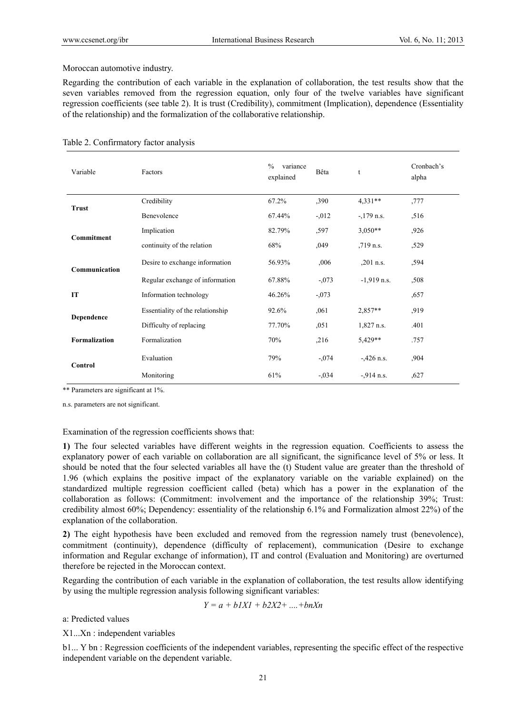#### Moroccan automotive industry.

Regarding the contribution of each variable in the explanation of collaboration, the test results show that the seven variables removed from the regression equation, only four of the twelve variables have significant regression coefficients (see table 2). It is trust (Credibility), commitment (Implication), dependence (Essentiality of the relationship) and the formalization of the collaborative relationship.

| Variable             | Factors                          | variance<br>$\frac{0}{0}$<br>explained | Bêta     | $\mathbf t$   | Cronbach's<br>alpha |
|----------------------|----------------------------------|----------------------------------------|----------|---------------|---------------------|
| <b>Trust</b>         | Credibility                      | 67.2%                                  | ,390     | $4,331**$     | ,777                |
|                      | Benevolence                      | 67.44%                                 | $-0.012$ | $-179$ n.s.   | ,516                |
| <b>Commitment</b>    | Implication                      | 82.79%                                 | ,597     | $3,050**$     | ,926                |
|                      | continuity of the relation       | 68%                                    | ,049     | $,719$ n.s.   | ,529                |
| Communication        | Desire to exchange information   | 56.93%                                 | ,006     | $,201$ n.s.   | ,594                |
|                      | Regular exchange of information  | 67.88%                                 | $-.073$  | $-1,919$ n.s. | ,508                |
| IT                   | Information technology           | 46.26%                                 | $-.073$  |               | ,657                |
| Dependence           | Essentiality of the relationship | 92.6%                                  | ,061     | $2,857**$     | .919                |
|                      | Difficulty of replacing          | 77.70%                                 | ,051     | $1,827$ n.s.  | .401                |
| <b>Formalization</b> | Formalization                    | 70%                                    | ,216     | 5,429**       | .757                |
| Control              | Evaluation                       | 79%                                    | $-.074$  | $-.426$ n.s.  | ,904                |
|                      | Monitoring                       | 61%                                    | $-.034$  | $-914$ n.s.   | ,627                |

#### Table 2. Confirmatory factor analysis

\*\* Parameters are significant at 1%.

n.s. parameters are not significant.

Examination of the regression coefficients shows that:

**1)** The four selected variables have different weights in the regression equation. Coefficients to assess the explanatory power of each variable on collaboration are all significant, the significance level of 5% or less. It should be noted that the four selected variables all have the (t) Student value are greater than the threshold of 1.96 (which explains the positive impact of the explanatory variable on the variable explained) on the standardized multiple regression coefficient called (beta) which has a power in the explanation of the collaboration as follows: (Commitment: involvement and the importance of the relationship 39%; Trust: credibility almost 60%; Dependency: essentiality of the relationship 6.1% and Formalization almost 22%) of the explanation of the collaboration.

**2)** The eight hypothesis have been excluded and removed from the regression namely trust (benevolence), commitment (continuity), dependence (difficulty of replacement), communication (Desire to exchange information and Regular exchange of information), IT and control (Evaluation and Monitoring) are overturned therefore be rejected in the Moroccan context.

Regarding the contribution of each variable in the explanation of collaboration, the test results allow identifying by using the multiple regression analysis following significant variables:

$$
Y = a + bIXI + b2X2 + \dots + bnXn
$$

a: Predicted values

#### X1...Xn : independent variables

b1... Y bn : Regression coefficients of the independent variables, representing the specific effect of the respective independent variable on the dependent variable.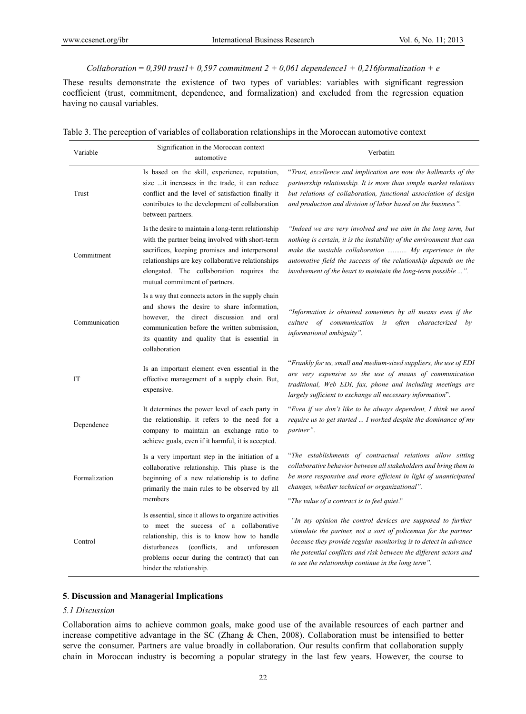*Collaboration* =  $0,390$  trust1 +  $0,597$  commitment 2 +  $0,061$  dependence1 +  $0,216$  formalization + e

These results demonstrate the existence of two types of variables: variables with significant regression coefficient (trust, commitment, dependence, and formalization) and excluded from the regression equation having no causal variables.

| Variable      | Signification in the Moroccan context<br>automotive                                                                                                                                                                                                                                         | Verbatim                                                                                                                                                                                                                                                                                                                             |  |  |
|---------------|---------------------------------------------------------------------------------------------------------------------------------------------------------------------------------------------------------------------------------------------------------------------------------------------|--------------------------------------------------------------------------------------------------------------------------------------------------------------------------------------------------------------------------------------------------------------------------------------------------------------------------------------|--|--|
| Trust         | Is based on the skill, experience, reputation,<br>size  it increases in the trade, it can reduce<br>conflict and the level of satisfaction finally it<br>contributes to the development of collaboration<br>between partners.                                                               | "Trust, excellence and implication are now the hallmarks of the<br>partnership relationship. It is more than simple market relations<br>but relations of collaboration, functional association of design<br>and production and division of labor based on the business".                                                             |  |  |
| Commitment    | Is the desire to maintain a long-term relationship<br>with the partner being involved with short-term<br>sacrifices, keeping promises and interpersonal<br>relationships are key collaborative relationships<br>elongated. The collaboration requires the<br>mutual commitment of partners. | "Indeed we are very involved and we aim in the long term, but<br>nothing is certain, it is the instability of the environment that can<br>make the unstable collaboration  My experience in the<br>automotive field the success of the relationship depends on the<br>involvement of the heart to maintain the long-term possible ". |  |  |
| Communication | Is a way that connects actors in the supply chain<br>and shows the desire to share information,<br>however, the direct discussion and oral<br>communication before the written submission,<br>its quantity and quality that is essential in<br>collaboration                                | "Information is obtained sometimes by all means even if the<br>culture of communication is often characterized<br>by<br>informational ambiguity".                                                                                                                                                                                    |  |  |
| IT            | Is an important element even essential in the<br>effective management of a supply chain. But,<br>expensive.                                                                                                                                                                                 | "Frankly for us, small and medium-sized suppliers, the use of EDI<br>are very expensive so the use of means of communication<br>traditional, Web EDI, fax, phone and including meetings are<br>largely sufficient to exchange all necessary information".                                                                            |  |  |
| Dependence    | It determines the power level of each party in<br>the relationship. it refers to the need for a<br>company to maintain an exchange ratio to<br>achieve goals, even if it harmful, it is accepted.                                                                                           | "Even if we don't like to be always dependent, I think we need<br>require us to get started  I worked despite the dominance of my<br>partner".                                                                                                                                                                                       |  |  |
| Formalization | Is a very important step in the initiation of a<br>collaborative relationship. This phase is the<br>beginning of a new relationship is to define<br>primarily the main rules to be observed by all<br>members                                                                               | "The establishments of contractual relations allow sitting<br>collaborative behavior between all stakeholders and bring them to<br>be more responsive and more efficient in light of unanticipated<br>changes, whether technical or organizational".<br>"The value of a contract is to feel quiet."                                  |  |  |
| Control       | Is essential, since it allows to organize activities<br>to meet the success of a collaborative<br>relationship, this is to know how to handle<br>disturbances<br>(conflicts,<br>unforeseen<br>and<br>problems occur during the contract) that can<br>hinder the relationship.               | "In my opinion the control devices are supposed to further<br>stimulate the partner, not a sort of policeman for the partner<br>because they provide regular monitoring is to detect in advance<br>the potential conflicts and risk between the different actors and<br>to see the relationship continue in the long term".          |  |  |

|  |  |  |  |  |  |  | Table 3. The perception of variables of collaboration relationships in the Moroccan automotive context |
|--|--|--|--|--|--|--|--------------------------------------------------------------------------------------------------------|
|--|--|--|--|--|--|--|--------------------------------------------------------------------------------------------------------|

# **5**. **Discussion and Managerial Implications**

# *5.1 Discussion*

Collaboration aims to achieve common goals, make good use of the available resources of each partner and increase competitive advantage in the SC (Zhang & Chen, 2008). Collaboration must be intensified to better serve the consumer. Partners are value broadly in collaboration. Our results confirm that collaboration supply chain in Moroccan industry is becoming a popular strategy in the last few years. However, the course to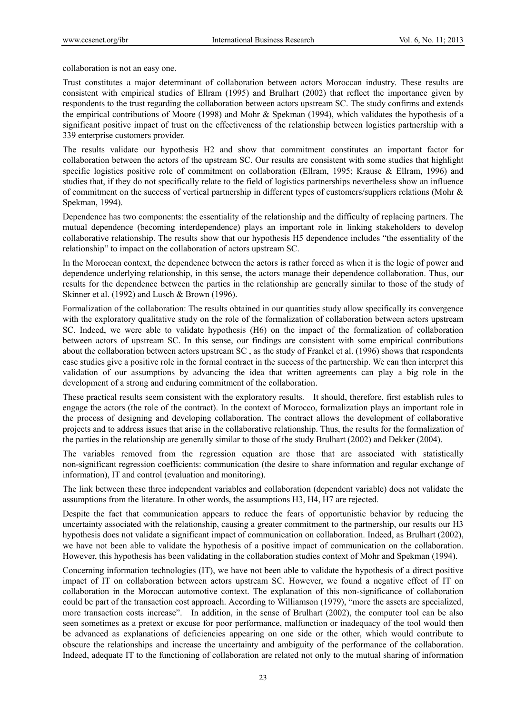collaboration is not an easy one.

Trust constitutes a major determinant of collaboration between actors Moroccan industry. These results are consistent with empirical studies of Ellram (1995) and Brulhart (2002) that reflect the importance given by respondents to the trust regarding the collaboration between actors upstream SC. The study confirms and extends the empirical contributions of Moore (1998) and Mohr & Spekman (1994), which validates the hypothesis of a significant positive impact of trust on the effectiveness of the relationship between logistics partnership with a 339 enterprise customers provider.

The results validate our hypothesis H2 and show that commitment constitutes an important factor for collaboration between the actors of the upstream SC. Our results are consistent with some studies that highlight specific logistics positive role of commitment on collaboration (Ellram, 1995; Krause & Ellram, 1996) and studies that, if they do not specifically relate to the field of logistics partnerships nevertheless show an influence of commitment on the success of vertical partnership in different types of customers/suppliers relations (Mohr & Spekman, 1994).

Dependence has two components: the essentiality of the relationship and the difficulty of replacing partners. The mutual dependence (becoming interdependence) plays an important role in linking stakeholders to develop collaborative relationship. The results show that our hypothesis H5 dependence includes "the essentiality of the relationship" to impact on the collaboration of actors upstream SC.

In the Moroccan context, the dependence between the actors is rather forced as when it is the logic of power and dependence underlying relationship, in this sense, the actors manage their dependence collaboration. Thus, our results for the dependence between the parties in the relationship are generally similar to those of the study of Skinner et al. (1992) and Lusch & Brown (1996).

Formalization of the collaboration: The results obtained in our quantities study allow specifically its convergence with the exploratory qualitative study on the role of the formalization of collaboration between actors upstream SC. Indeed, we were able to validate hypothesis (H6) on the impact of the formalization of collaboration between actors of upstream SC. In this sense, our findings are consistent with some empirical contributions about the collaboration between actors upstream SC , as the study of Frankel et al. (1996) shows that respondents case studies give a positive role in the formal contract in the success of the partnership. We can then interpret this validation of our assumptions by advancing the idea that written agreements can play a big role in the development of a strong and enduring commitment of the collaboration.

These practical results seem consistent with the exploratory results. It should, therefore, first establish rules to engage the actors (the role of the contract). In the context of Morocco, formalization plays an important role in the process of designing and developing collaboration. The contract allows the development of collaborative projects and to address issues that arise in the collaborative relationship. Thus, the results for the formalization of the parties in the relationship are generally similar to those of the study Brulhart (2002) and Dekker (2004).

The variables removed from the regression equation are those that are associated with statistically non-significant regression coefficients: communication (the desire to share information and regular exchange of information), IT and control (evaluation and monitoring).

The link between these three independent variables and collaboration (dependent variable) does not validate the assumptions from the literature. In other words, the assumptions H3, H4, H7 are rejected.

Despite the fact that communication appears to reduce the fears of opportunistic behavior by reducing the uncertainty associated with the relationship, causing a greater commitment to the partnership, our results our H3 hypothesis does not validate a significant impact of communication on collaboration. Indeed, as Brulhart (2002), we have not been able to validate the hypothesis of a positive impact of communication on the collaboration. However, this hypothesis has been validating in the collaboration studies context of Mohr and Spekman (1994).

Concerning information technologies (IT), we have not been able to validate the hypothesis of a direct positive impact of IT on collaboration between actors upstream SC. However, we found a negative effect of IT on collaboration in the Moroccan automotive context. The explanation of this non-significance of collaboration could be part of the transaction cost approach. According to Williamson (1979), "more the assets are specialized, more transaction costs increase". In addition, in the sense of Brulhart (2002), the computer tool can be also seen sometimes as a pretext or excuse for poor performance, malfunction or inadequacy of the tool would then be advanced as explanations of deficiencies appearing on one side or the other, which would contribute to obscure the relationships and increase the uncertainty and ambiguity of the performance of the collaboration. Indeed, adequate IT to the functioning of collaboration are related not only to the mutual sharing of information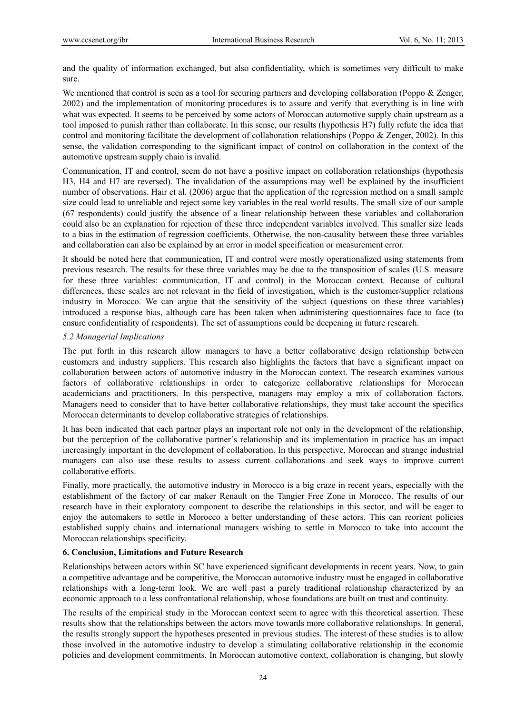and the quality of information exchanged, but also confidentiality, which is sometimes very difficult to make sure.

We mentioned that control is seen as a tool for securing partners and developing collaboration (Poppo & Zenger, 2002) and the implementation of monitoring procedures is to assure and verify that everything is in line with what was expected. It seems to be perceived by some actors of Moroccan automotive supply chain upstream as a tool imposed to punish rather than collaborate. In this sense, our results (hypothesis H7) fully refute the idea that control and monitoring facilitate the development of collaboration relationships (Poppo & Zenger, 2002). In this sense, the validation corresponding to the significant impact of control on collaboration in the context of the automotive upstream supply chain is invalid.

Communication, IT and control, seem do not have a positive impact on collaboration relationships (hypothesis H3, H4 and H7 are reversed). The invalidation of the assumptions may well be explained by the insufficient number of observations. Hair et al. (2006) argue that the application of the regression method on a small sample size could lead to unreliable and reject some key variables in the real world results. The small size of our sample (67 respondents) could justify the absence of a linear relationship between these variables and collaboration could also be an explanation for rejection of these three independent variables involved. This smaller size leads to a bias in the estimation of regression coefficients. Otherwise, the non-causality between these three variables and collaboration can also be explained by an error in model specification or measurement error.

It should be noted here that communication, IT and control were mostly operationalized using statements from previous research. The results for these three variables may be due to the transposition of scales (U.S. measure for these three variables: communication, IT and control) in the Moroccan context. Because of cultural differences, these scales are not relevant in the field of investigation, which is the customer/supplier relations industry in Morocco. We can argue that the sensitivity of the subject (questions on these three variables) introduced a response bias, although care has been taken when administering questionnaires face to face (to ensure confidentiality of respondents). The set of assumptions could be deepening in future research.

## *5.2 Managerial Implications*

The put forth in this research allow managers to have a better collaborative design relationship between customers and industry suppliers. This research also highlights the factors that have a significant impact on collaboration between actors of automotive industry in the Moroccan context. The research examines various factors of collaborative relationships in order to categorize collaborative relationships for Moroccan academicians and practitioners. In this perspective, managers may employ a mix of collaboration factors. Managers need to consider that to have better collaborative relationships, they must take account the specifics Moroccan determinants to develop collaborative strategies of relationships.

It has been indicated that each partner plays an important role not only in the development of the relationship, but the perception of the collaborative partner's relationship and its implementation in practice has an impact increasingly important in the development of collaboration. In this perspective, Moroccan and strange industrial managers can also use these results to assess current collaborations and seek ways to improve current collaborative efforts.

Finally, more practically, the automotive industry in Morocco is a big craze in recent years, especially with the establishment of the factory of car maker Renault on the Tangier Free Zone in Morocco. The results of our research have in their exploratory component to describe the relationships in this sector, and will be eager to enjoy the automakers to settle in Morocco a better understanding of these actors. This can reorient policies established supply chains and international managers wishing to settle in Morocco to take into account the Moroccan relationships specificity.

# **6. Conclusion, Limitations and Future Research**

Relationships between actors within SC have experienced significant developments in recent years. Now, to gain a competitive advantage and be competitive, the Moroccan automotive industry must be engaged in collaborative relationships with a long-term look. We are well past a purely traditional relationship characterized by an economic approach to a less confrontational relationship, whose foundations are built on trust and continuity.

The results of the empirical study in the Moroccan context seem to agree with this theoretical assertion. These results show that the relationships between the actors move towards more collaborative relationships. In general, the results strongly support the hypotheses presented in previous studies. The interest of these studies is to allow those involved in the automotive industry to develop a stimulating collaborative relationship in the economic policies and development commitments. In Moroccan automotive context, collaboration is changing, but slowly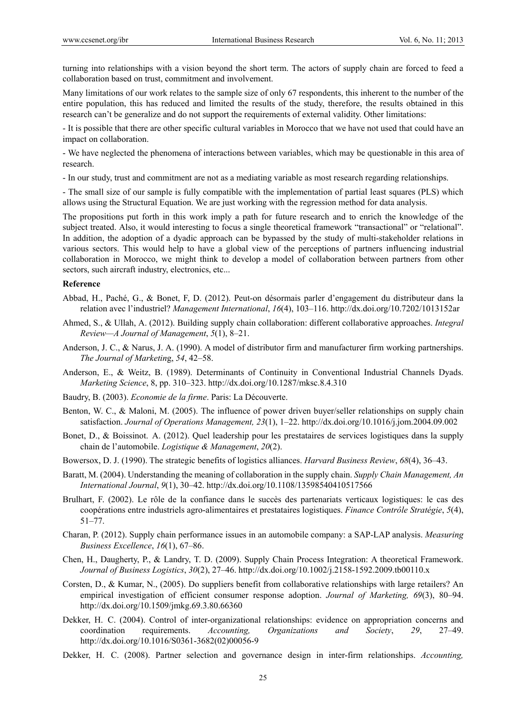turning into relationships with a vision beyond the short term. The actors of supply chain are forced to feed a collaboration based on trust, commitment and involvement.

Many limitations of our work relates to the sample size of only 67 respondents, this inherent to the number of the entire population, this has reduced and limited the results of the study, therefore, the results obtained in this research can't be generalize and do not support the requirements of external validity. Other limitations:

- It is possible that there are other specific cultural variables in Morocco that we have not used that could have an impact on collaboration.

- We have neglected the phenomena of interactions between variables, which may be questionable in this area of research.

- In our study, trust and commitment are not as a mediating variable as most research regarding relationships.

- The small size of our sample is fully compatible with the implementation of partial least squares (PLS) which allows using the Structural Equation. We are just working with the regression method for data analysis.

The propositions put forth in this work imply a path for future research and to enrich the knowledge of the subject treated. Also, it would interesting to focus a single theoretical framework "transactional" or "relational". In addition, the adoption of a dyadic approach can be bypassed by the study of multi-stakeholder relations in various sectors. This would help to have a global view of the perceptions of partners influencing industrial collaboration in Morocco, we might think to develop a model of collaboration between partners from other sectors, such aircraft industry, electronics, etc...

#### **Reference**

- Abbad, H., Paché, G., & Bonet, F, D. (2012). Peut-on désormais parler d'engagement du distributeur dans la relation avec l'industriel? *Management International*, *16*(4), 103–116. http://dx.doi.org/10.7202/1013152ar
- Ahmed, S., & Ullah, A. (2012). Building supply chain collaboration: different collaborative approaches. *Integral Review—A Journal of Management*, *5*(1), 8–21.
- Anderson, J. C., & Narus, J. A. (1990). A model of distributor firm and manufacturer firm working partnerships. *The Journal of Marketin*g, *54*, 42–58.
- Anderson, E., & Weitz, B. (1989). Determinants of Continuity in Conventional Industrial Channels Dyads. *Marketing Science*, 8, pp. 310–323. http://dx.doi.org/10.1287/mksc.8.4.310
- Baudry, B. (2003). *Economie de la firme*. Paris: La Découverte.
- Benton, W. C., & Maloni, M. (2005). The influence of power driven buyer/seller relationships on supply chain satisfaction. *Journal of Operations Management, 23*(1), 1–22. http://dx.doi.org/10.1016/j.jom.2004.09.002
- Bonet, D., & Boissinot. A. (2012). Quel leadership pour les prestataires de services logistiques dans la supply chain de l'automobile. *Logistique & Management*, *20*(2).
- Bowersox, D. J. (1990). The strategic benefits of logistics alliances. *Harvard Business Review*, *68*(4), 36–43.
- Baratt, M. (2004). Understanding the meaning of collaboration in the supply chain. *Supply Chain Management, An International Journal*, *9*(1), 30–42. http://dx.doi.org/10.1108/13598540410517566
- Brulhart, F. (2002). Le rôle de la confiance dans le succès des partenariats verticaux logistiques: le cas des coopérations entre industriels agro-alimentaires et prestataires logistiques. *Finance Contrôle Stratégie*, *5*(4), 51–77.
- Charan, P. (2012). Supply chain performance issues in an automobile company: a SAP-LAP analysis. *Measuring Business Excellence*, *16*(1), 67–86.
- Chen, H., Daugherty, P., & Landry, T. D. (2009). Supply Chain Process Integration: A theoretical Framework. *Journal of Business Logistics*, *30*(2), 27–46. http://dx.doi.org/10.1002/j.2158-1592.2009.tb00110.x
- Corsten, D., & Kumar, N., (2005). Do suppliers benefit from collaborative relationships with large retailers? An empirical investigation of efficient consumer response adoption. *Journal of Marketing, 69*(3), 80–94. http://dx.doi.org/10.1509/jmkg.69.3.80.66360
- Dekker, H. C. (2004). Control of inter-organizational relationships: evidence on appropriation concerns and coordination requirements. *Accounting, Organizations and Society*, *29*, 27–49. http://dx.doi.org/10.1016/S0361-3682(02)00056-9
- Dekker, H. C. (2008). Partner selection and governance design in inter-firm relationships. *Accounting,*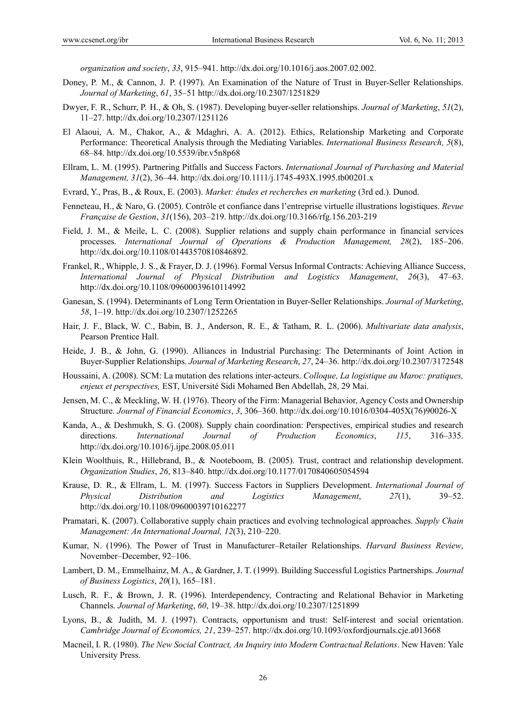*organization and society*, *33*, 915–941. http://dx.doi.org/10.1016/j.aos.2007.02.002.

- Doney, P. M., & Cannon, J. P. (1997). An Examination of the Nature of Trust in Buyer-Seller Relationships. *Journal of Marketing*, *61*, 35–51 http://dx.doi.org/10.2307/1251829
- Dwyer, F. R., Schurr, P. H., & Oh, S. (1987). Developing buyer-seller relationships. *Journal of Marketing*, *51*(2), 11–27. http://dx.doi.org/10.2307/1251126
- El Alaoui, A. M., Chakor, A., & Mdaghri, A. A. (2012). Ethics, Relationship Marketing and Corporate Performance: Theoretical Analysis through the Mediating Variables. *International Business Research, 5*(8), 68–84. http://dx.doi.org/10.5539/ibr.v5n8p68
- Ellram, L. M. (1995). Partnering Pitfalls and Success Factors. *International Journal of Purchasing and Material Management, 31*(2), 36–44. http://dx.doi.org/10.1111/j.1745-493X.1995.tb00201.x
- Evrard, Y., Pras, B., & Roux, E. (2003). *Market: études et recherches en marketing* (3rd ed.). Dunod.
- Fenneteau, H., & Naro, G. (2005). Contrôle et confiance dans l'entreprise virtuelle illustrations logistiques. *Revue Française de Gestion*, *31*(156), 203–219. http://dx.doi.org/10.3166/rfg.156.203-219
- Field, J. M., & Meile, L. C. (2008). Supplier relations and supply chain performance in financial services processes. *International Journal of Operations & Production Management, 28*(2), 185–206. http://dx.doi.org/10.1108/01443570810846892.
- Frankel, R., Whipple, J. S., & Frayer, D. J. (1996). Formal Versus Informal Contracts: Achieving Alliance Success, *International Journal of Physical Distribution and Logistics Management*, *26*(3), 47–63. http://dx.doi.org/10.1108/09600039610114992
- Ganesan, S. (1994). Determinants of Long Term Orientation in Buyer-Seller Relationships. *Journal of Marketing*, *58*, 1–19. http://dx.doi.org/10.2307/1252265
- Hair, J. F., Black, W. C., Babin, B. J., Anderson, R. E., & Tatham, R. L. (2006). *Multivariate data analysis*, Pearson Prentice Hall.
- Heide, J. B., & John, G. (1990). Alliances in Industrial Purchasing: The Determinants of Joint Action in Buyer-Supplier Relationships. *Journal of Marketing Research*, *27*, 24–36. http://dx.doi.org/10.2307/3172548
- Houssaini, A. (2008). SCM: La mutation des relations inter-acteurs. *Colloque, La logistique au Maroc: pratiques, enjeux et perspectives,* EST, Université Sidi Mohamed Ben Abdellah, 28, 29 Mai.
- Jensen, M. C., & Meckling, W. H. (1976). Theory of the Firm: Managerial Behavior, Agency Costs and Ownership Structure. *Journal of Financial Economics*, *3*, 306–360. http://dx.doi.org/10.1016/0304-405X(76)90026-X
- Kanda, A., & Deshmukh, S. G. (2008). Supply chain coordination: Perspectives, empirical studies and research directions. *International Journal of Production Economics*, *115*, 316–335. http://dx.doi.org/10.1016/j.ijpe.2008.05.011
- Klein Woolthuis, R., Hillebrand, B., & Nooteboom, B. (2005). Trust, contract and relationship development. *Organization Studies*, *26*, 813–840. http://dx.doi.org/10.1177/0170840605054594
- Krause, D. R., & Ellram, L. M. (1997). Success Factors in Suppliers Development. *International Journal of Physical Distribution and Logistics Management*, *27*(1), 39–52. http://dx.doi.org/10.1108/09600039710162277
- Pramatari, K. (2007). Collaborative supply chain practices and evolving technological approaches. *Supply Chain Management: An International Journal, 12*(3), 210–220.
- Kumar, N. (1996). The Power of Trust in Manufacturer–Retailer Relationships. *Harvard Business Review*, November–December, 92–106.
- Lambert, D. M., Emmelhainz, M. A., & Gardner, J. T. (1999). Building Successful Logistics Partnerships. *Journal of Business Logistics*, *20*(1), 165–181.
- Lusch, R. F., & Brown, J. R. (1996). Interdependency, Contracting and Relational Behavior in Marketing Channels. *Journal of Marketing*, *60*, 19–38. http://dx.doi.org/10.2307/1251899
- Lyons, B., & Judith, M. J. (1997). Contracts, opportunism and trust: Self-interest and social orientation. *Cambridge Journal of Economics, 21*, 239–257. http://dx.doi.org/10.1093/oxfordjournals.cje.a013668
- Macneil, I. R. (1980). *The New Social Contract, An Inquiry into Modern Contractual Relations*. New Haven: Yale University Press.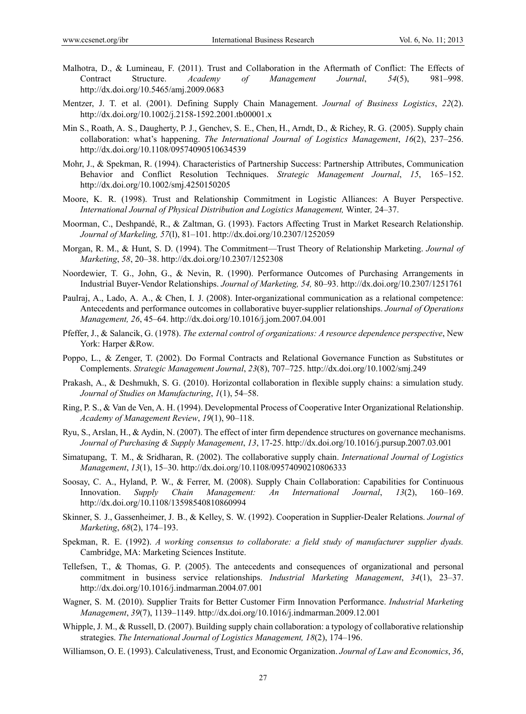- Malhotra, D., & Lumineau, F. (2011). Trust and Collaboration in the Aftermath of Conflict: The Effects of Contract Structure. *Academy of Management Journal*, *54*(5), 981–998. http://dx.doi.org/10.5465/amj.2009.0683
- Mentzer, J. T. et al. (2001). Defining Supply Chain Management. *Journal of Business Logistics*, *22*(2). http://dx.doi.org/10.1002/j.2158-1592.2001.tb00001.x
- Min S., Roath, A. S., Daugherty, P. J., Genchev, S. E., Chen, H., Arndt, D., & Richey, R. G. (2005). Supply chain collaboration: what's happening. *The International Journal of Logistics Management*, *16*(2), 237–256. http://dx.doi.org/10.1108/09574090510634539
- Mohr, J., & Spekman, R. (1994). Characteristics of Partnership Success: Partnership Attributes, Communication Behavior and Conflict Resolution Techniques. *Strategic Management Journal*, *15*, 165–152. http://dx.doi.org/10.1002/smj.4250150205
- Moore, K. R. (1998). Trust and Relationship Commitment in Logistic Alliances: A Buyer Perspective. *International Journal of Physical Distribution and Logistics Management,* Winter*,* 24–37.
- Moorman, C., Deshpandé, R., & Zaltman, G. (1993). Factors Affecting Trust in Market Research Relationship. *Journal of Markeling, 57*(l), 81–101. http://dx.doi.org/10.2307/1252059
- Morgan, R. M., & Hunt, S. D. (1994). The Commitment—Trust Theory of Relationship Marketing. *Journal of Marketing*, *58*, 20–38. http://dx.doi.org/10.2307/1252308
- Noordewier, T. G., John, G., & Nevin, R. (1990). Performance Outcomes of Purchasing Arrangements in Industrial Buyer-Vendor Relationships. *Journal of Marketing, 54,* 80–93. http://dx.doi.org/10.2307/1251761
- Paulraj, A., Lado, A. A., & Chen, I. J. (2008). Inter-organizational communication as a relational competence: Antecedents and performance outcomes in collaborative buyer-supplier relationships. *Journal of Operations Management, 26*, 45–64. http://dx.doi.org/10.1016/j.jom.2007.04.001
- Pfeffer, J., & Salancik, G. (1978). *The external control of organizations: A resource dependence perspective*, New York: Harper &Row.
- Poppo, L., & Zenger, T. (2002). Do Formal Contracts and Relational Governance Function as Substitutes or Complements. *Strategic Management Journal*, *23*(8), 707–725. http://dx.doi.org/10.1002/smj.249
- Prakash, A., & Deshmukh, S. G. (2010). Horizontal collaboration in flexible supply chains: a simulation study. *Journal of Studies on Manufacturing*, *1*(1), 54–58.
- Ring, P. S., & Van de Ven, A. H. (1994). Developmental Process of Cooperative Inter Organizational Relationship. *Academy of Management Review*, *19*(1), 90–118.
- Ryu, S., Arslan, H., & Aydin, N. (2007). The effect of inter firm dependence structures on governance mechanisms. *Journal of Purchasing & Supply Management*, *13*, 17-25. http://dx.doi.org/10.1016/j.pursup.2007.03.001
- Simatupang, T. M., & Sridharan, R. (2002). The collaborative supply chain. *International Journal of Logistics Management*, *13*(1), 15–30. http://dx.doi.org/10.1108/09574090210806333
- Soosay, C. A., Hyland, P. W., & Ferrer, M. (2008). Supply Chain Collaboration: Capabilities for Continuous Innovation. *Supply Chain Management: An International Journal*, *13*(2), 160–169. http://dx.doi.org/10.1108/13598540810860994
- Skinner, S. J., Gassenheimer, J. B., & Kelley, S. W. (1992). Cooperation in Supplier-Dealer Relations. *Journal of Marketing*, *68*(2), 174–193.
- Spekman, R. E. (1992). *A working consensus to collaborate: a field study of manufacturer supplier dyads.*  Cambridge, MA: Marketing Sciences Institute.
- Tellefsen, T., & Thomas, G. P. (2005). The antecedents and consequences of organizational and personal commitment in business service relationships. *Industrial Marketing Management*, *34*(1), 23–37. http://dx.doi.org/10.1016/j.indmarman.2004.07.001
- Wagner, S. M. (2010). Supplier Traits for Better Customer Firm Innovation Performance. *Industrial Marketing Management*, *39*(7), 1139–1149. http://dx.doi.org/10.1016/j.indmarman.2009.12.001
- Whipple, J. M., & Russell, D. (2007). Building supply chain collaboration: a typology of collaborative relationship strategies. *The International Journal of Logistics Management, 18*(2), 174–196.
- Williamson, O. E. (1993). Calculativeness, Trust, and Economic Organization. *Journal of Law and Economics*, *36*,